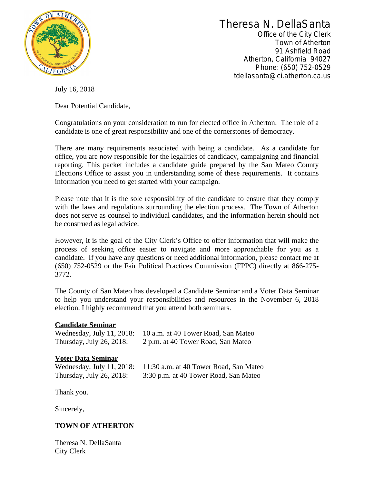

Theresa N. DellaSanta

Office of the City Clerk Town of Atherton 91 Ashfield Road Atherton, California 94027 Phone: (650) 752-0529 tdellasanta@ci.atherton.ca.us

July 16, 2018

Dear Potential Candidate,

Congratulations on your consideration to run for elected office in Atherton. The role of a candidate is one of great responsibility and one of the cornerstones of democracy.

There are many requirements associated with being a candidate. As a candidate for office, you are now responsible for the legalities of candidacy, campaigning and financial reporting. This packet includes a candidate guide prepared by the San Mateo County Elections Office to assist you in understanding some of these requirements. It contains information you need to get started with your campaign.

Please note that it is the sole responsibility of the candidate to ensure that they comply with the laws and regulations surrounding the election process. The Town of Atherton does not serve as counsel to individual candidates, and the information herein should not be construed as legal advice.

However, it is the goal of the City Clerk's Office to offer information that will make the process of seeking office easier to navigate and more approachable for you as a candidate. If you have any questions or need additional information, please contact me at (650) 752-0529 or the Fair Political Practices Commission (FPPC) directly at 866-275- 3772.

The County of San Mateo has developed a Candidate Seminar and a Voter Data Seminar to help you understand your responsibilities and resources in the November 6, 2018 election. I highly recommend that you attend both seminars.

## **Candidate Seminar**

Wednesday, July 11, 2018: 10 a.m. at 40 Tower Road, San Mateo Thursday, July 26, 2018: 2 p.m. at 40 Tower Road, San Mateo

## **Voter Data Seminar**

| Wednesday, July 11, 2018: | 11:30 a.m. at 40 Tower Road, San Mateo |
|---------------------------|----------------------------------------|
| Thursday, July 26, 2018:  | 3:30 p.m. at 40 Tower Road, San Mateo  |

Thank you.

Sincerely,

## **TOWN OF ATHERTON**

Theresa N. DellaSanta City Clerk